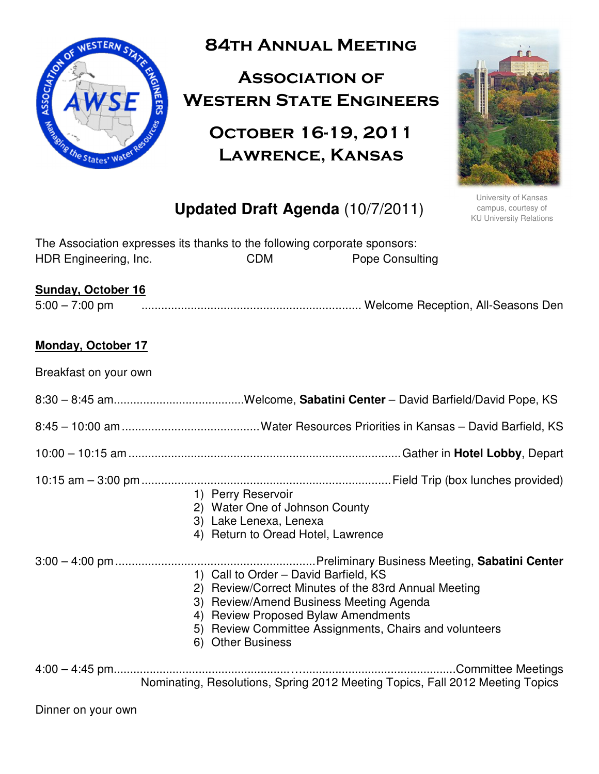

84th Annual Meeting

# Association of Western State Engineers

# October 16-19, 2011 Lawrence, Kansas



University of Kansas campus, courtesy of KU University Relations

# **Updated Draft Agenda** (10/7/2011)

| The Association expresses its thanks to the following corporate sponsors: |            |                        |
|---------------------------------------------------------------------------|------------|------------------------|
| HDR Engineering, Inc.                                                     | <b>CDM</b> | <b>Pope Consulting</b> |

## **Sunday, October 16**

5:00 – 7:00 pm ................................................................... Welcome Reception, All-Seasons Den

### **Monday, October 17**

Breakfast on your own

|--|--|--|

8:45 – 10:00 am .......................................... Water Resources Priorities in Kansas – David Barfield, KS

- 10:00 10:15 am ................................................................................... Gather in **Hotel Lobby**, Depart
- 10:15 am 3:00 pm ............................................................................ Field Trip (box lunches provided)
	- 1) Perry Reservoir
	- 2) Water One of Johnson County
	- 3) Lake Lenexa, Lenexa
	- 4) Return to Oread Hotel, Lawrence

3:00 – 4:00 pm ............................................................. Preliminary Business Meeting, **Sabatini Center**

- 1) Call to Order David Barfield, KS
	- 2) Review/Correct Minutes of the 83rd Annual Meeting
	- 3) Review/Amend Business Meeting Agenda
	- 4) Review Proposed Bylaw Amendments
	- 5) Review Committee Assignments, Chairs and volunteers
	- 6) Other Business

4:00 – 4:45 pm...................................................... …...............................................Committee Meetings Nominating, Resolutions, Spring 2012 Meeting Topics, Fall 2012 Meeting Topics